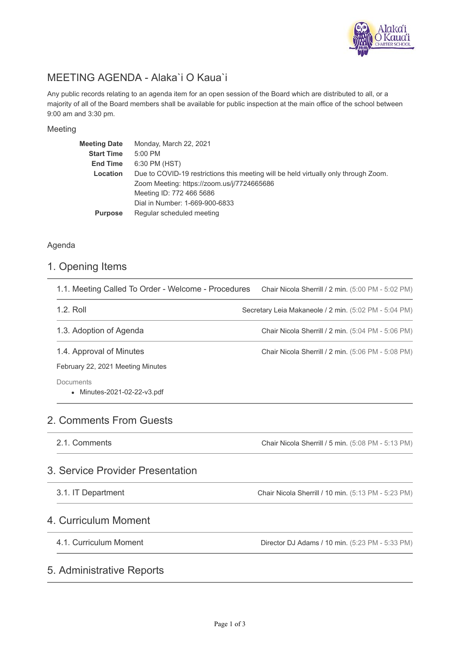

# MEETING AGENDA - Alaka`i O Kaua`i

Any public records relating to an agenda item for an open session of the Board which are distributed to all, or a majority of all of the Board members shall be available for public inspection at the main office of the school between 9:00 am and 3:30 pm.

#### Meeting

| Monday, March 22, 2021                                                              |
|-------------------------------------------------------------------------------------|
| 5:00 PM                                                                             |
| 6:30 PM (HST)                                                                       |
| Due to COVID-19 restrictions this meeting will be held virtually only through Zoom. |
| Zoom Meeting: https://zoom.us/j/7724665686                                          |
| Meeting ID: 772 466 5686                                                            |
| Dial in Number: 1-669-900-6833                                                      |
| Regular scheduled meeting                                                           |
|                                                                                     |

#### Agenda

# 1. Opening Items

| 1.1. Meeting Called To Order - Welcome - Procedures | Chair Nicola Sherrill / 2 min. (5:00 PM - 5:02 PM)    |
|-----------------------------------------------------|-------------------------------------------------------|
| 1.2. Roll                                           | Secretary Leia Makaneole / 2 min. (5:02 PM - 5:04 PM) |
| 1.3. Adoption of Agenda                             | Chair Nicola Sherrill / 2 min. (5:04 PM - 5:06 PM)    |
| 1.4. Approval of Minutes                            | Chair Nicola Sherrill / 2 min. (5:06 PM - 5:08 PM)    |
| February 22, 2021 Meeting Minutes                   |                                                       |
| Documents<br>• Minutes-2021-02-22-v3.pdf            |                                                       |
| 2. Comments From Guests                             |                                                       |
| 2.1. Comments                                       | Chair Nicola Sherrill / 5 min. (5:08 PM - 5:13 PM)    |
| 3. Service Provider Presentation                    |                                                       |
| 3.1. IT Department                                  | Chair Nicola Sherrill / 10 min. (5:13 PM - 5:23 PM)   |
| 4. Curriculum Moment                                |                                                       |
| 4.1. Curriculum Moment                              | Director DJ Adams / 10 min. (5:23 PM - 5:33 PM)       |
| 5. Administrative Reports                           |                                                       |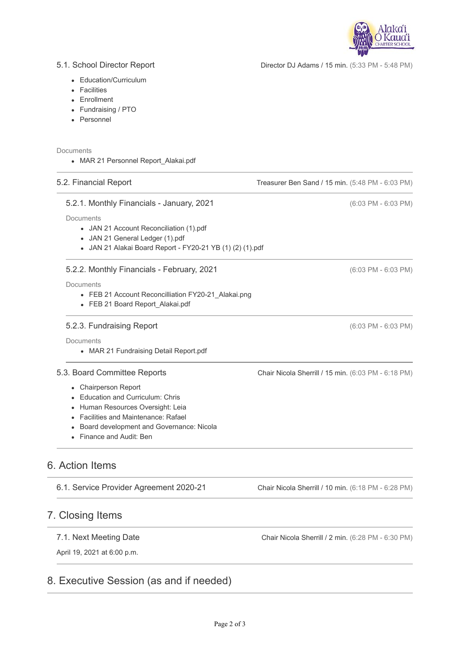

Director DJ Adams / 15 min. (5:33 PM - 5:48 PM)

Treasurer Ben Sand / 15 min. (5:48 PM - 6:03 PM)

#### 5.1. School Director Report

- Education/Curriculum
- Facilities
- Enrollment
- Fundraising / PTO
- Personnel

#### Documents

• MAR 21 Personnel Report Alakai.pdf

#### 5.2. Financial Report

#### 5.2.1. Monthly Financials - January, 2021

Documents

- JAN 21 Account Reconciliation (1).pdf
- JAN 21 General Ledger (1).pdf
- JAN 21 Alakai Board Report FY20-21 YB (1) (2) (1).pdf

#### 5.2.2. Monthly Financials - February, 2021

Documents

- FEB 21 Account Reconcilliation FY20-21 Alakai.png
- FEB 21 Board Report\_Alakai.pdf

#### 5.2.3. Fundraising Report

**Documents** 

• MAR 21 Fundraising Detail Report.pdf

#### 5.3. Board Committee Reports

- Chairperson Report
- Education and Curriculum: Chris
- Human Resources Oversight: Leia
- Facilities and Maintenance: Rafael
- Board development and Governance: Nicola
- Finance and Audit: Ben

## 6. Action Items

6.1. Service Provider Agreement 2020-21

## 7. Closing Items

#### 7.1. Next Meeting Date

April 19, 2021 at 6:00 p.m.

## 8. Executive Session (as and if needed)

Chair Nicola Sherrill / 2 min. (6:28 PM - 6:30 PM)

Chair Nicola Sherrill / 10 min. (6:18 PM - 6:28 PM)

(6:03 PM - 6:03 PM)

(6:03 PM - 6:03 PM)

(6:03 PM - 6:03 PM)

Chair Nicola Sherrill / 15 min. (6:03 PM - 6:18 PM)